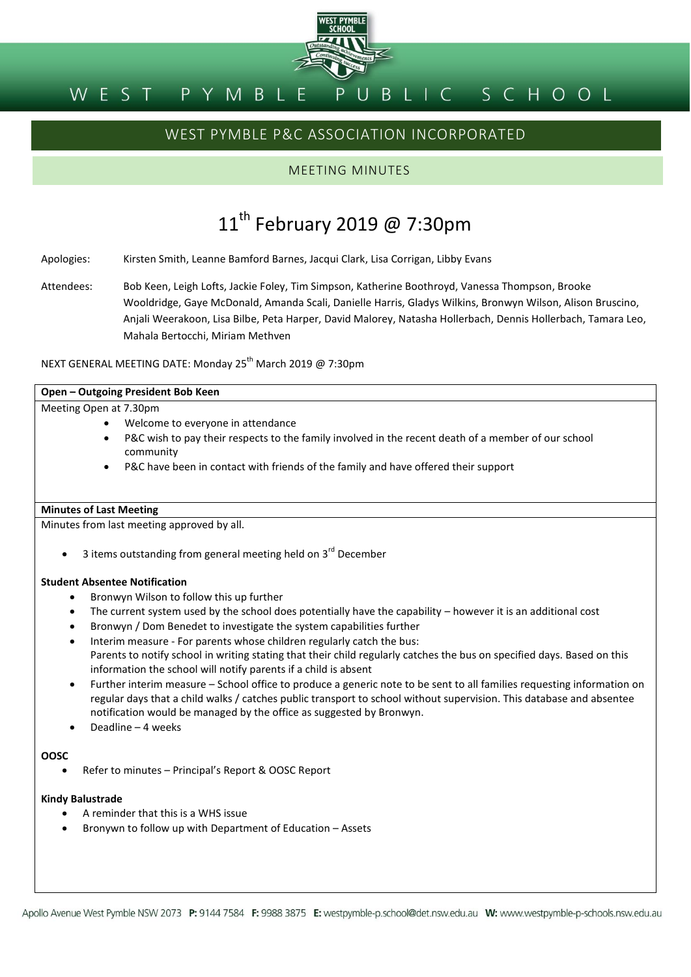

# WEST PYMBLE P&C ASSOCIATION INCORPORATED

# MEETING MINUTES

# 11<sup>th</sup> February 2019 @ 7:30pm

Apologies: Kirsten Smith, Leanne Bamford Barnes, Jacqui Clark, Lisa Corrigan, Libby Evans

Attendees: Bob Keen, Leigh Lofts, Jackie Foley, Tim Simpson, Katherine Boothroyd, Vanessa Thompson, Brooke Wooldridge, Gaye McDonald, Amanda Scali, Danielle Harris, Gladys Wilkins, Bronwyn Wilson, Alison Bruscino, Anjali Weerakoon, Lisa Bilbe, Peta Harper, David Malorey, Natasha Hollerbach, Dennis Hollerbach, Tamara Leo, Mahala Bertocchi, Miriam Methven

NEXT GENERAL MEETING DATE: Monday 25<sup>th</sup> March 2019 @ 7:30pm

### **Open – Outgoing President Bob Keen**

### Meeting Open at 7.30pm

- Welcome to everyone in attendance
- P&C wish to pay their respects to the family involved in the recent death of a member of our school community
- P&C have been in contact with friends of the family and have offered their support

### **Minutes of Last Meeting**

Minutes from last meeting approved by all.

3 items outstanding from general meeting held on 3<sup>rd</sup> December

### **Student Absentee Notification**

- Bronwyn Wilson to follow this up further
- The current system used by the school does potentially have the capability however it is an additional cost
- Bronwyn / Dom Benedet to investigate the system capabilities further
- Interim measure For parents whose children regularly catch the bus: Parents to notify school in writing stating that their child regularly catches the bus on specified days. Based on this information the school will notify parents if a child is absent
- Further interim measure School office to produce a generic note to be sent to all families requesting information on regular days that a child walks / catches public transport to school without supervision. This database and absentee notification would be managed by the office as suggested by Bronwyn.
- Deadline 4 weeks

### **OOSC**

● Refer to minutes – Principal's Report & OOSC Report

### **Kindy Balustrade**

- A reminder that this is a WHS issue
- Bronywn to follow up with Department of Education Assets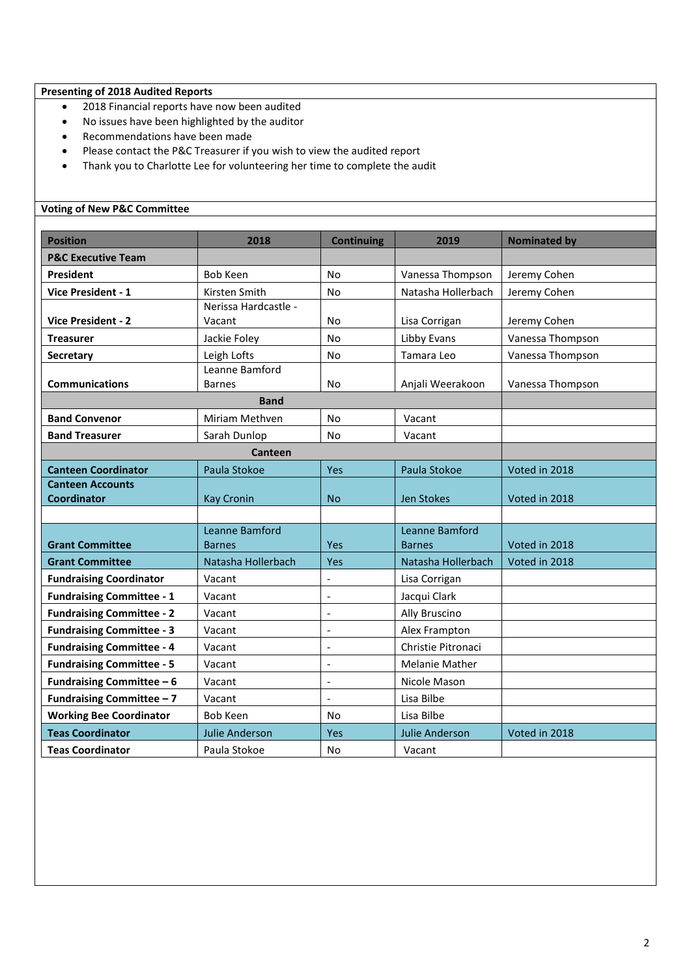# **Presenting of 2018 Audited Reports**

- 2018 Financial reports have now been audited
- No issues have been highlighted by the auditor
- Recommendations have been made
- Please contact the P&C Treasurer if you wish to view the audited report
- Thank you to Charlotte Lee for volunteering her time to complete the audit

# **Voting of New P&C Committee**

| <b>Position</b>                  | 2018                  | <b>Continuing</b>        | 2019                  | <b>Nominated by</b> |
|----------------------------------|-----------------------|--------------------------|-----------------------|---------------------|
| <b>P&amp;C Executive Team</b>    |                       |                          |                       |                     |
| <b>President</b>                 | <b>Bob Keen</b>       | <b>No</b>                | Vanessa Thompson      | Jeremy Cohen        |
| <b>Vice President - 1</b>        | Kirsten Smith         | No                       | Natasha Hollerbach    | Jeremy Cohen        |
|                                  | Nerissa Hardcastle -  |                          |                       |                     |
| <b>Vice President - 2</b>        | Vacant                | No                       | Lisa Corrigan         | Jeremy Cohen        |
| <b>Treasurer</b>                 | Jackie Foley          | No                       | Libby Evans           | Vanessa Thompson    |
| Secretary                        | Leigh Lofts           | No                       | Tamara Leo            | Vanessa Thompson    |
|                                  | Leanne Bamford        |                          |                       |                     |
| <b>Communications</b>            | <b>Barnes</b>         | No                       | Anjali Weerakoon      | Vanessa Thompson    |
|                                  | <b>Band</b>           |                          |                       |                     |
| <b>Band Convenor</b>             | Miriam Methven        | No                       | Vacant                |                     |
| <b>Band Treasurer</b>            | Sarah Dunlop          | No                       | Vacant                |                     |
|                                  | Canteen               |                          |                       |                     |
| <b>Canteen Coordinator</b>       | Paula Stokoe          | Yes                      | Paula Stokoe          | Voted in 2018       |
| <b>Canteen Accounts</b>          |                       |                          |                       |                     |
| <b>Coordinator</b>               | <b>Kay Cronin</b>     | <b>No</b>                | Jen Stokes            | Voted in 2018       |
|                                  |                       |                          |                       |                     |
|                                  | Leanne Bamford        |                          | Leanne Bamford        |                     |
| <b>Grant Committee</b>           | <b>Barnes</b>         | Yes                      | <b>Barnes</b>         | Voted in 2018       |
| <b>Grant Committee</b>           | Natasha Hollerbach    | Yes                      | Natasha Hollerbach    | Voted in 2018       |
| <b>Fundraising Coordinator</b>   | Vacant                | $\overline{\phantom{a}}$ | Lisa Corrigan         |                     |
| <b>Fundraising Committee - 1</b> | Vacant                |                          | Jacqui Clark          |                     |
| <b>Fundraising Committee - 2</b> | Vacant                | L,                       | Ally Bruscino         |                     |
| <b>Fundraising Committee - 3</b> | Vacant                | $\overline{a}$           | Alex Frampton         |                     |
| <b>Fundraising Committee - 4</b> | Vacant                | $\overline{\phantom{a}}$ | Christie Pitronaci    |                     |
| <b>Fundraising Committee - 5</b> | Vacant                | $\overline{a}$           | <b>Melanie Mather</b> |                     |
| <b>Fundraising Committee - 6</b> | Vacant                | $\overline{a}$           | Nicole Mason          |                     |
| Fundraising Committee - 7        | Vacant                | $\overline{a}$           | Lisa Bilbe            |                     |
| <b>Working Bee Coordinator</b>   | <b>Bob Keen</b>       | No                       | Lisa Bilbe            |                     |
| <b>Teas Coordinator</b>          | <b>Julie Anderson</b> | Yes                      | <b>Julie Anderson</b> | Voted in 2018       |
| <b>Teas Coordinator</b>          | Paula Stokoe          | No                       | Vacant                |                     |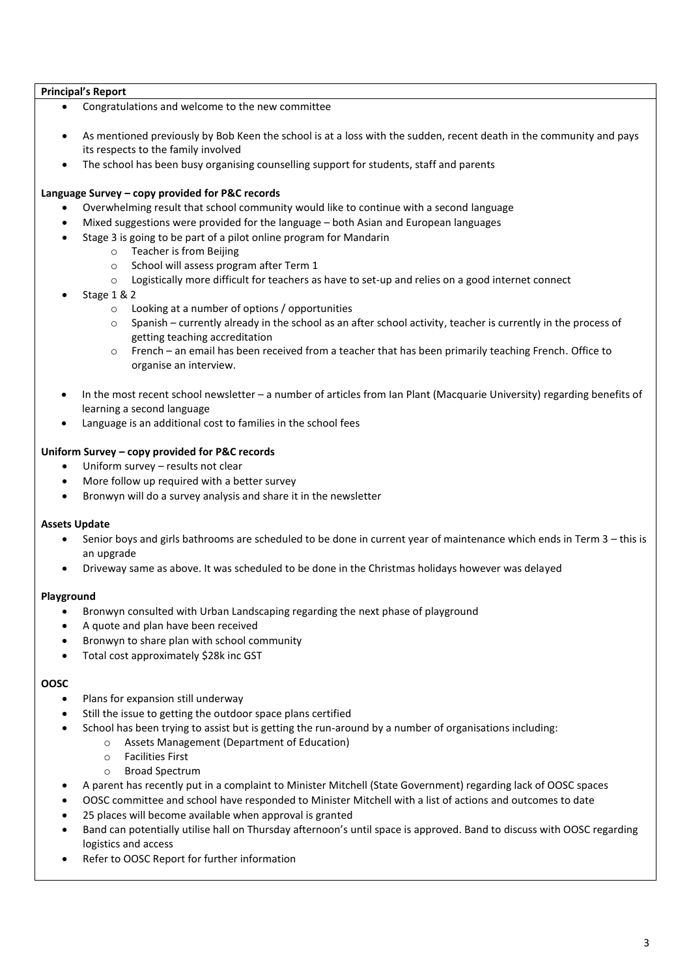### **Principal's Report**

- Congratulations and welcome to the new committee
- As mentioned previously by Bob Keen the school is at a loss with the sudden, recent death in the community and pays its respects to the family involved
- The school has been busy organising counselling support for students, staff and parents

### **Language Survey – copy provided for P&C records**

- Overwhelming result that school community would like to continue with a second language
- Mixed suggestions were provided for the language both Asian and European languages
- Stage 3 is going to be part of a pilot online program for Mandarin
	- o Teacher is from Beijing
	- o School will assess program after Term 1
	- $\circ$  Logistically more difficult for teachers as have to set-up and relies on a good internet connect
- Stage 1 & 2
	- o Looking at a number of options / opportunities
	- o Spanish currently already in the school as an after school activity, teacher is currently in the process of getting teaching accreditation
	- o French an email has been received from a teacher that has been primarily teaching French. Office to organise an interview.
- In the most recent school newsletter a number of articles from Ian Plant (Macquarie University) regarding benefits of learning a second language
- Language is an additional cost to families in the school fees

### **Uniform Survey – copy provided for P&C records**

- Uniform survey results not clear
- More follow up required with a better survey
- Bronwyn will do a survey analysis and share it in the newsletter

### **Assets Update**

- Senior boys and girls bathrooms are scheduled to be done in current year of maintenance which ends in Term 3 this is an upgrade
- Driveway same as above. It was scheduled to be done in the Christmas holidays however was delayed

### **Playground**

- Bronwyn consulted with Urban Landscaping regarding the next phase of playground
- A quote and plan have been received
- Bronwyn to share plan with school community
- Total cost approximately \$28k inc GST

### **OOSC**

- Plans for expansion still underway
- Still the issue to getting the outdoor space plans certified
- School has been trying to assist but is getting the run-around by a number of organisations including:
	- o Assets Management (Department of Education)
	- o Facilities First
	- o Broad Spectrum
- A parent has recently put in a complaint to Minister Mitchell (State Government) regarding lack of OOSC spaces
- OOSC committee and school have responded to Minister Mitchell with a list of actions and outcomes to date
- 25 places will become available when approval is granted
- Band can potentially utilise hall on Thursday afternoon's until space is approved. Band to discuss with OOSC regarding logistics and access
- Refer to OOSC Report for further information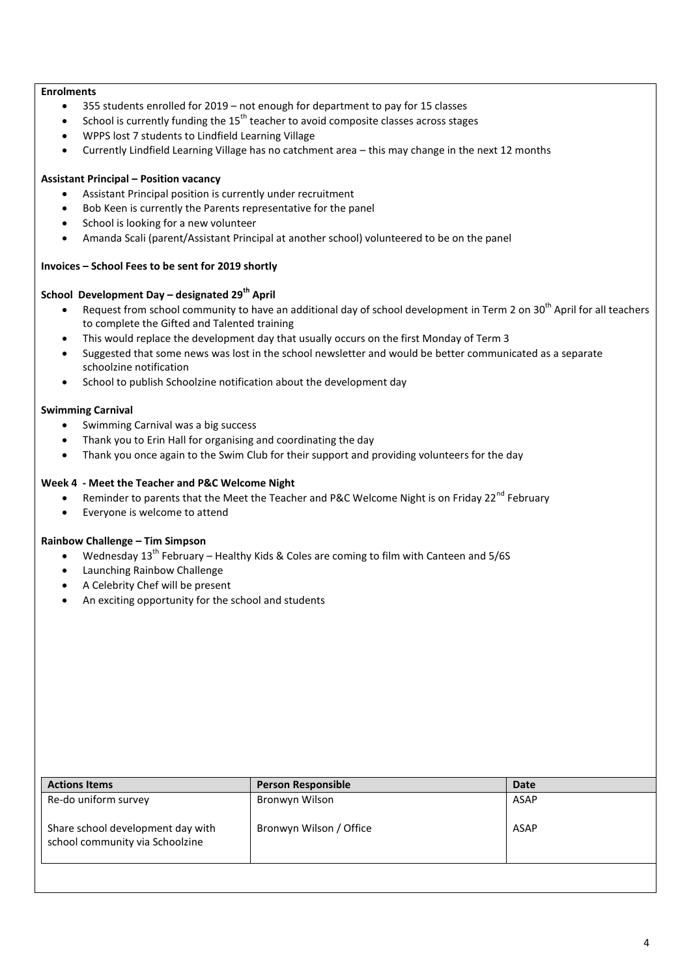### **Enrolments**

- 355 students enrolled for 2019 not enough for department to pay for 15 classes
- School is currently funding the  $15<sup>th</sup>$  teacher to avoid composite classes across stages
- WPPS lost 7 students to Lindfield Learning Village
- Currently Lindfield Learning Village has no catchment area this may change in the next 12 months

### **Assistant Principal – Position vacancy**

- Assistant Principal position is currently under recruitment
- Bob Keen is currently the Parents representative for the panel
- School is looking for a new volunteer
- Amanda Scali (parent/Assistant Principal at another school) volunteered to be on the panel

### **Invoices – School Fees to be sent for 2019 shortly**

# **School Development Day – designated 29th April**

- Request from school community to have an additional day of school development in Term 2 on 30<sup>th</sup> April for all teachers to complete the Gifted and Talented training
- This would replace the development day that usually occurs on the first Monday of Term 3
- Suggested that some news was lost in the school newsletter and would be better communicated as a separate schoolzine notification
- School to publish Schoolzine notification about the development day

### **Swimming Carnival**

- Swimming Carnival was a big success
- Thank you to Erin Hall for organising and coordinating the day
- Thank you once again to the Swim Club for their support and providing volunteers for the day

### **Week 4 - Meet the Teacher and P&C Welcome Night**

- Reminder to parents that the Meet the Teacher and P&C Welcome Night is on Friday 22<sup>nd</sup> February
- Everyone is welcome to attend

### **Rainbow Challenge – Tim Simpson**

- Wednesday  $13<sup>th</sup>$  February Healthy Kids & Coles are coming to film with Canteen and 5/6S
- Launching Rainbow Challenge
- A Celebrity Chef will be present
- An exciting opportunity for the school and students

| <b>Actions Items</b>                                                 | <b>Person Responsible</b> | Date |
|----------------------------------------------------------------------|---------------------------|------|
| Re-do uniform survey                                                 | Bronwyn Wilson            | ASAP |
| Share school development day with<br>school community via Schoolzine | Bronwyn Wilson / Office   | ASAP |
|                                                                      |                           |      |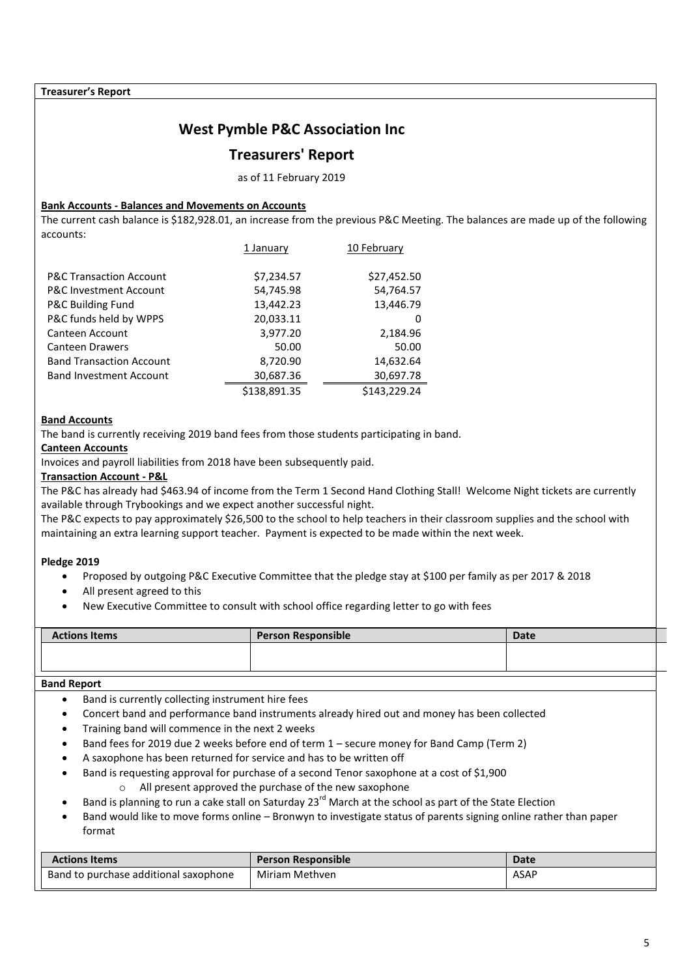### **Treasurer's Report**

# **West Pymble P&C Association Inc**

# **Treasurers' Report**

as of 11 February 2019

### **Bank Accounts - Balances and Movements on Accounts**

The current cash balance is \$182,928.01, an increase from the previous P&C Meeting. The balances are made up of the following accounts:

|                                    | 1 January    | 10 February  |
|------------------------------------|--------------|--------------|
| <b>P&amp;C Transaction Account</b> | \$7,234.57   | \$27,452.50  |
| <b>P&amp;C Investment Account</b>  | 54,745.98    | 54,764.57    |
| P&C Building Fund                  | 13,442.23    | 13,446.79    |
| P&C funds held by WPPS             | 20,033.11    | 0            |
| Canteen Account                    | 3,977.20     | 2,184.96     |
| <b>Canteen Drawers</b>             | 50.00        | 50.00        |
| <b>Band Transaction Account</b>    | 8,720.90     | 14,632.64    |
| <b>Band Investment Account</b>     | 30,687.36    | 30,697.78    |
|                                    | \$138,891.35 | \$143.229.24 |

### **Band Accounts**

The band is currently receiving 2019 band fees from those students participating in band.

### **Canteen Accounts**

Invoices and payroll liabilities from 2018 have been subsequently paid.

# **Transaction Account - P&L**

The P&C has already had \$463.94 of income from the Term 1 Second Hand Clothing Stall! Welcome Night tickets are currently available through Trybookings and we expect another successful night.

The P&C expects to pay approximately \$26,500 to the school to help teachers in their classroom supplies and the school with maintaining an extra learning support teacher. Payment is expected to be made within the next week.

### **Pledge 2019**

- Proposed by outgoing P&C Executive Committee that the pledge stay at \$100 per family as per 2017 & 2018
- All present agreed to this
- New Executive Committee to consult with school office regarding letter to go with fees

| <b>Actions Items</b> | <b>Person Responsible</b> | <b>Date</b> |  |
|----------------------|---------------------------|-------------|--|
|                      |                           |             |  |
|                      |                           |             |  |

### **Band Report**

- Band is currently collecting instrument hire fees
- Concert band and performance band instruments already hired out and money has been collected
- Training band will commence in the next 2 weeks
- Band fees for 2019 due 2 weeks before end of term 1 secure money for Band Camp (Term 2)
- A saxophone has been returned for service and has to be written off
- Band is requesting approval for purchase of a second Tenor saxophone at a cost of \$1,900 o All present approved the purchase of the new saxophone
- Band is planning to run a cake stall on Saturday 23<sup>rd</sup> March at the school as part of the State Election
- Band would like to move forms online Bronwyn to investigate status of parents signing online rather than paper format

| <b>Actions Items</b>                  | <b>Person Responsible</b> | <b>Date</b> |
|---------------------------------------|---------------------------|-------------|
| Band to purchase additional saxophone | Miriam Methven            | <b>ASAP</b> |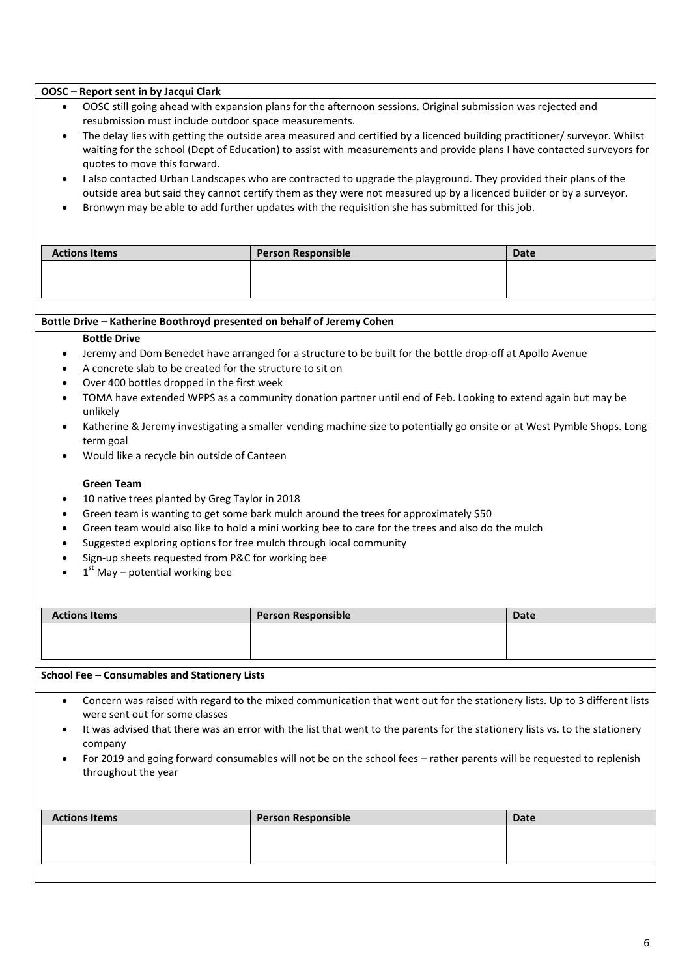### **OOSC – Report sent in by Jacqui Clark**

- OOSC still going ahead with expansion plans for the afternoon sessions. Original submission was rejected and resubmission must include outdoor space measurements.
- The delay lies with getting the outside area measured and certified by a licenced building practitioner/ surveyor. Whilst waiting for the school (Dept of Education) to assist with measurements and provide plans I have contacted surveyors for quotes to move this forward.
- I also contacted Urban Landscapes who are contracted to upgrade the playground. They provided their plans of the outside area but said they cannot certify them as they were not measured up by a licenced builder or by a surveyor.
- Bronwyn may be able to add further updates with the requisition she has submitted for this job.

| <b>Actions Items</b> | <b>Person Responsible</b> | <b>Date</b> |
|----------------------|---------------------------|-------------|
|                      |                           |             |
|                      |                           |             |
|                      |                           |             |

### **Bottle Drive – Katherine Boothroyd presented on behalf of Jeremy Cohen**

### **Bottle Drive**

- Jeremy and Dom Benedet have arranged for a structure to be built for the bottle drop-off at Apollo Avenue
- A concrete slab to be created for the structure to sit on
- Over 400 bottles dropped in the first week
- TOMA have extended WPPS as a community donation partner until end of Feb. Looking to extend again but may be unlikely
- Katherine & Jeremy investigating a smaller vending machine size to potentially go onsite or at West Pymble Shops. Long term goal
- Would like a recycle bin outside of Canteen

### **Green Team**

- 10 native trees planted by Greg Taylor in 2018
- Green team is wanting to get some bark mulch around the trees for approximately \$50
- Green team would also like to hold a mini working bee to care for the trees and also do the mulch
- Suggested exploring options for free mulch through local community
- Sign-up sheets requested from P&C for working bee
- $1<sup>st</sup>$  May potential working bee

| <b>Actions Items</b> | <b>Person Responsible</b> | <b>Date</b> |
|----------------------|---------------------------|-------------|
|                      |                           |             |
|                      |                           |             |
|                      |                           |             |

### **School Fee – Consumables and Stationery Lists**

- Concern was raised with regard to the mixed communication that went out for the stationery lists. Up to 3 different lists were sent out for some classes
- It was advised that there was an error with the list that went to the parents for the stationery lists vs. to the stationery company
- For 2019 and going forward consumables will not be on the school fees rather parents will be requested to replenish throughout the year

| <b>Actions Items</b> | <b>Person Responsible</b> | Date |
|----------------------|---------------------------|------|
|                      |                           |      |
|                      |                           |      |
|                      |                           |      |